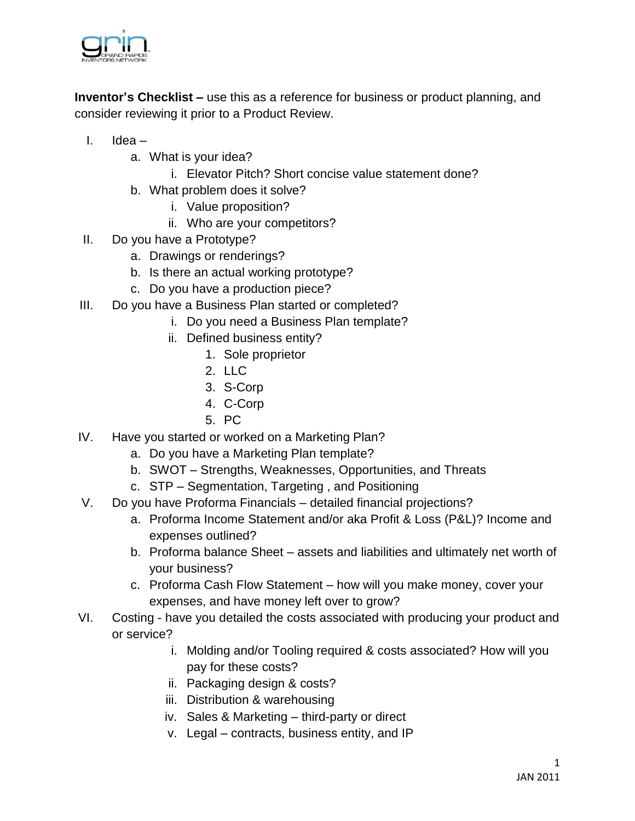

**Inventor's Checklist –** use this as a reference for business or product planning, and consider reviewing it prior to a Product Review.

- I. Idea
	- a. What is your idea?
		- i. Elevator Pitch? Short concise value statement done?
	- b. What problem does it solve?
		- i. Value proposition?
		- ii. Who are your competitors?
- II. Do you have a Prototype?
	- a. Drawings or renderings?
	- b. Is there an actual working prototype?
	- c. Do you have a production piece?
- III. Do you have a Business Plan started or completed?
	- i. Do you need a Business Plan template?
	- ii. Defined business entity?
		- 1. Sole proprietor
		- 2. LLC
		- 3. S-Corp
		- 4. C-Corp
		- 5. PC
- IV. Have you started or worked on a Marketing Plan?
	- a. Do you have a Marketing Plan template?
	- b. SWOT Strengths, Weaknesses, Opportunities, and Threats
	- c. STP Segmentation, Targeting , and Positioning
- V. Do you have Proforma Financials detailed financial projections?
	- a. Proforma Income Statement and/or aka Profit & Loss (P&L)? Income and expenses outlined?
	- b. Proforma balance Sheet assets and liabilities and ultimately net worth of your business?
	- c. Proforma Cash Flow Statement how will you make money, cover your expenses, and have money left over to grow?
- VI. Costing have you detailed the costs associated with producing your product and or service?
	- i. Molding and/or Tooling required & costs associated? How will you pay for these costs?
	- ii. Packaging design & costs?
	- iii. Distribution & warehousing
	- iv. Sales & Marketing third-party or direct
	- v. Legal contracts, business entity, and IP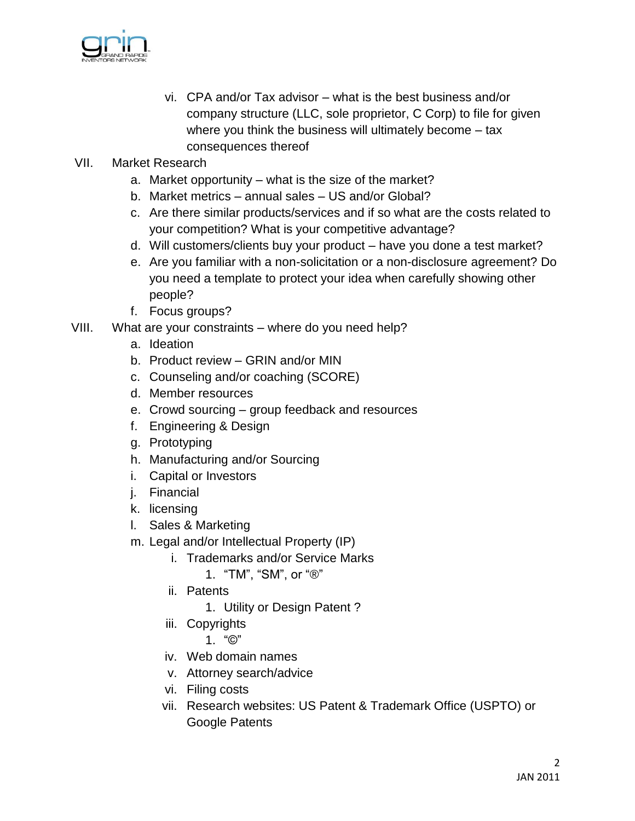

- vi. CPA and/or Tax advisor what is the best business and/or company structure (LLC, sole proprietor, C Corp) to file for given where you think the business will ultimately become – tax consequences thereof
- VII. Market Research
	- a. Market opportunity what is the size of the market?
	- b. Market metrics annual sales US and/or Global?
	- c. Are there similar products/services and if so what are the costs related to your competition? What is your competitive advantage?
	- d. Will customers/clients buy your product have you done a test market?
	- e. Are you familiar with a non-solicitation or a non-disclosure agreement? Do you need a template to protect your idea when carefully showing other people?
	- f. Focus groups?
- VIII. What are your constraints where do you need help?
	- a. Ideation
	- b. Product review GRIN and/or MIN
	- c. Counseling and/or coaching (SCORE)
	- d. Member resources
	- e. Crowd sourcing group feedback and resources
	- f. Engineering & Design
	- g. Prototyping
	- h. Manufacturing and/or Sourcing
	- i. Capital or Investors
	- j. Financial
	- k. licensing
	- l. Sales & Marketing
	- m. Legal and/or Intellectual Property (IP)
		- i. Trademarks and/or Service Marks
			- 1. "TM", "SM", or "®"
		- ii. Patents
			- 1. Utility or Design Patent ?
		- iii. Copyrights
			- 1. "©"
		- iv. Web domain names
		- v. Attorney search/advice
		- vi. Filing costs
		- vii. Research websites: US Patent & Trademark Office (USPTO) or Google Patents